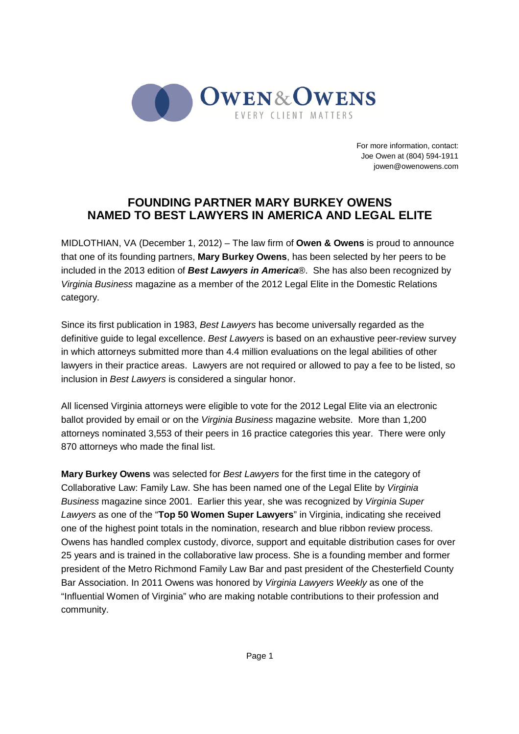

For more information, contact: Joe Owen at (804) 594-1911 jowen@owenowens.com

## **FOUNDING PARTNER MARY BURKEY OWENS NAMED TO BEST LAWYERS IN AMERICA AND LEGAL ELITE**

MIDLOTHIAN, VA (December 1, 2012) – The law firm of **Owen & Owens** is proud to announce that one of its founding partners, **Mary Burkey Owens**, has been selected by her peers to be included in the 2013 edition of **Best Lawyers in America**®. She has also been recognized by Virginia Business magazine as a member of the 2012 Legal Elite in the Domestic Relations category.

Since its first publication in 1983, Best Lawyers has become universally regarded as the definitive guide to legal excellence. Best Lawyers is based on an exhaustive peer-review survey in which attorneys submitted more than 4.4 million evaluations on the legal abilities of other lawyers in their practice areas. Lawyers are not required or allowed to pay a fee to be listed, so inclusion in Best Lawyers is considered a singular honor.

All licensed Virginia attorneys were eligible to vote for the 2012 Legal Elite via an electronic ballot provided by email or on the Virginia Business magazine website. More than 1,200 attorneys nominated 3,553 of their peers in 16 practice categories this year. There were only 870 attorneys who made the final list.

**Mary Burkey Owens** was selected for Best Lawyers for the first time in the category of Collaborative Law: Family Law. She has been named one of the Legal Elite by Virginia Business magazine since 2001. Earlier this year, she was recognized by Virginia Super Lawyers as one of the "**Top 50 Women Super Lawyers**" in Virginia, indicating she received one of the highest point totals in the nomination, research and blue ribbon review process. Owens has handled complex custody, divorce, support and equitable distribution cases for over 25 years and is trained in the collaborative law process. She is a founding member and former president of the Metro Richmond Family Law Bar and past president of the Chesterfield County Bar Association. In 2011 Owens was honored by Virginia Lawyers Weekly as one of the "Influential Women of Virginia" who are making notable contributions to their profession and community.